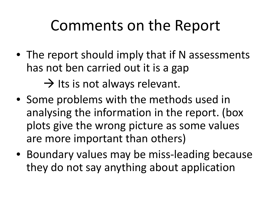### Comments on the Report

• The report should imply that if N assessments has not ben carried out it is a gap

 $\rightarrow$  Its is not always relevant.

- Some problems with the methods used in analysing the information in the report. (box plots give the wrong picture as some values are more important than others)
- Boundary values may be miss-leading because they do not say anything about application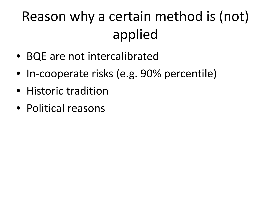## Reason why a certain method is (not) applied

- BQE are not intercalibrated
- In-cooperate risks (e.g. 90% percentile)
- Historic tradition
- Political reasons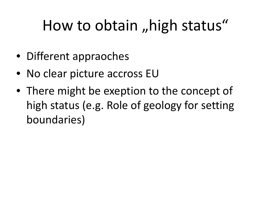# How to obtain, high status"

- Different appraoches
- No clear picture accross EU
- There might be exeption to the concept of high status (e.g. Role of geology for setting boundaries)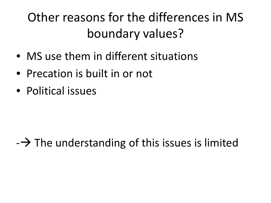### Other reasons for the differences in MS boundary values?

- MS use them in different situations
- Precation is built in or not
- Political issues

#### $-\rightarrow$  The understanding of this issues is limited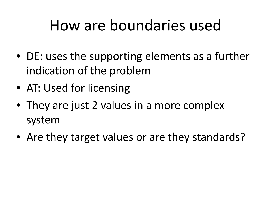### How are boundaries used

- DE: uses the supporting elements as a further indication of the problem
- AT: Used for licensing
- They are just 2 values in a more complex system
- Are they target values or are they standards?